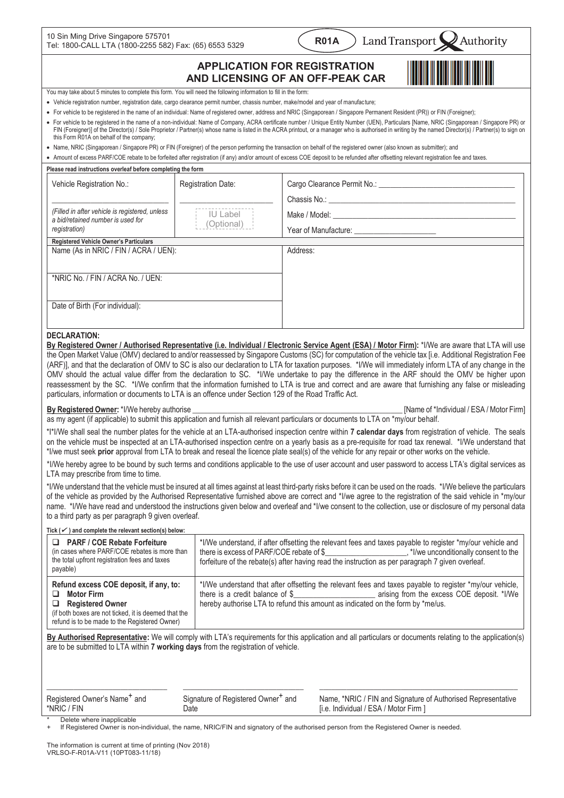| 10 Sin Ming Drive Singapore 575701                     |
|--------------------------------------------------------|
| Tel: 1800-CALL LTA (1800-2255 582) Fax: (65) 6553 5329 |

#### **Land Transport Authority**

# **APPLICATION FOR REGISTRATION AND LICENSING OF AN OFF-PEAK CAR**

**R01A** 



You may take about 5 minutes to complete this form. You will need the following information to fill in the form:

- Vehicle registration number, registration date, cargo clearance permit number, chassis number, make/model and year of manufacture;
- · For vehicle to be registered in the name of an individual: Name of registered owner, address and NRIC (Singaporean / Singapore Permanent Resident (PR)) or FIN (Foreigner);
- · For vehicle to be registered in the name of a non-individual: Name of Company, ACRA certificate number / Unique Entity Number (UEN), Particulars [Name, NRIC (Singaporean / Singapore PR) or FIN (Foreigner)] of the Director(s) / Sole Proprietor / Partner(s) whose name is listed in the ACRA printout, or a manager who is authorised in writing by the named Director(s) / Partner(s) to sign on this Form R01A on behalf of the company;
- · Name, NRIC (Singaporean / Singapore PR) or FIN (Foreigner) of the person performing the transaction on behalf of the registered owner (also known as submitter); and
- · Amount of excess PARF/COE rebate to be forfeited after registration (if any) and/or amount of excess COE deposit to be refunded after offsetting relevant registration fee and taxes.

| Please read instructions overleaf before completing the form                        |                           |                                                                                                                                                                                                                                |  |  |  |
|-------------------------------------------------------------------------------------|---------------------------|--------------------------------------------------------------------------------------------------------------------------------------------------------------------------------------------------------------------------------|--|--|--|
| Vehicle Registration No.:                                                           | <b>Registration Date:</b> |                                                                                                                                                                                                                                |  |  |  |
|                                                                                     |                           | Chassis No.: The contract of the contract of the contract of the contract of the contract of the contract of the contract of the contract of the contract of the contract of the contract of the contract of the contract of t |  |  |  |
| (Filled in after vehicle is registered, unless<br>a bid/retained number is used for | IU Label<br>(Optional)    |                                                                                                                                                                                                                                |  |  |  |
| registration)                                                                       |                           |                                                                                                                                                                                                                                |  |  |  |
| Registered Vehicle Owner's Particulars                                              |                           |                                                                                                                                                                                                                                |  |  |  |
| Name (As in NRIC / FIN / ACRA / UEN):                                               |                           | Address:                                                                                                                                                                                                                       |  |  |  |
| *NRIC No. / FIN / ACRA No. / UEN:                                                   |                           |                                                                                                                                                                                                                                |  |  |  |
| Date of Birth (For individual):                                                     |                           |                                                                                                                                                                                                                                |  |  |  |

## **DECLARATION:**

**By Registered Owner / Authorised Representative (i.e. Individual / Electronic Service Agent (ESA) / Motor Firm):** \*I/We are aware that LTA will use the Open Market Value (OMV) declared to and/or reassessed by Singapore Customs (SC) for computation of the vehicle tax [i.e. Additional Registration Fee (ARF)], and that the declaration of OMV to SC is also our declaration to LTA for taxation purposes. \*I/We will immediately inform LTA of any change in the OMV should the actual value differ from the declaration to SC. \*I/We undertake to pay the difference in the ARF should the OMV be higher upon reassessment by the SC. \*I/We confirm that the information furnished to LTA is true and correct and are aware that furnishing any false or misleading particulars, information or documents to LTA is an offence under Section 129 of the Road Traffic Act.

#### **By Registered Owner:** \*I/We hereby authorise **Example 2018 Constant Constant Constant Constant Constant Constant Constant Constant Constant Constant Constant Constant Constant Constant Constant Constant Constant Constan**

as my agent (if applicable) to submit this application and furnish all relevant particulars or documents to LTA on \*my/our behalf.

\*I\*I/We shall seal the number plates for the vehicle at an LTA-authorised inspection centre within **7 calendar days** from registration of vehicle. The seals on the vehicle must be inspected at an LTA-authorised inspection centre on a yearly basis as a pre-requisite for road tax renewal. \*I/We understand that \*I/we must seek **prior** approval from LTA to break and reseal the licence plate seal(s) of the vehicle for any repair or other works on the vehicle.

\*I/We hereby agree to be bound by such terms and conditions applicable to the use of user account and user password to access LTA's digital services as LTA may prescribe from time to time.

\*I/We understand that the vehicle must be insured at all times against at least third-party risks before it can be used on the roads. \*I/We believe the particulars of the vehicle as provided by the Authorised Representative furnished above are correct and \*I/we agree to the registration of the said vehicle in \*my/our name. \*I/We have read and understood the instructions given below and overleaf and \*I/we consent to the collection, use or disclosure of my personal data to a third party as per paragraph 9 given overleaf.

| Tick $(\checkmark)$ and complete the relevant section(s) below:                                                                                                                                    |                                                                                                                                                                                                                                                                         |  |  |  |  |  |
|----------------------------------------------------------------------------------------------------------------------------------------------------------------------------------------------------|-------------------------------------------------------------------------------------------------------------------------------------------------------------------------------------------------------------------------------------------------------------------------|--|--|--|--|--|
| <b>PARF / COE Rebate Forfeiture</b><br>◻<br>(in cases where PARF/COE rebates is more than<br>the total upfront registration fees and taxes<br>payable)                                             | *I/We understand, if after offsetting the relevant fees and taxes payable to register *my/our vehicle and<br>forfeiture of the rebate(s) after having read the instruction as per paragraph 7 given overleaf.                                                           |  |  |  |  |  |
| Refund excess COE deposit, if any, to:<br>Motor Firm<br>□<br><b>Registered Owner</b><br>□<br>(if both boxes are not ticked, it is deemed that the<br>refund is to be made to the Registered Owner) | *I/We understand that after offsetting the relevant fees and taxes payable to register *my/our vehicle,<br>there is a credit balance of \$ arising from the excess COE deposit. *I/We<br>hereby authorise LTA to refund this amount as indicated on the form by *me/us. |  |  |  |  |  |

**By Authorised Representative:** We will comply with LTA's requirements for this application and all particulars or documents relating to the application(s) are to be submitted to LTA within **7 working days** from the registration of vehicle.

| Registered Owner's Name <sup>+</sup> and<br>*NRIC / FIN |                           | Signature of Registered Owner <sup>+</sup> and<br>Date | Name, *NRIC / FIN and Signature of Authorised Representative<br>[i.e. Individual / ESA / Motor Firm ] |
|---------------------------------------------------------|---------------------------|--------------------------------------------------------|-------------------------------------------------------------------------------------------------------|
|                                                         | Delete where inannlicahle |                                                        |                                                                                                       |

\* Delete where inapplicable

If Registered Owner is non-individual, the name, NRIC/FIN and signatory of the authorised person from the Registered Owner is needed.